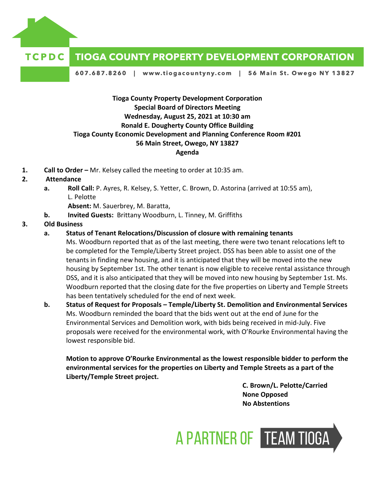

#### **TCPDC TIOGA COUNTY PROPERTY DEVELOPMENT CORPORATION**

607.687.8260 | www.tiogacountyny.com | 56 Main St. Owego NY 13827

# **Tioga County Property Development Corporation Special Board of Directors Meeting Wednesday, August 25, 2021 at 10:30 am Ronald E. Dougherty County Office Building Tioga County Economic Development and Planning Conference Room #201 56 Main Street, Owego, NY 13827 Agenda**

**1. Call to Order –** Mr. Kelsey called the meeting to order at 10:35 am.

## **2. Attendance**

**a. Roll Call:** P. Ayres, R. Kelsey, S. Yetter, C. Brown, D. Astorina (arrived at 10:55 am), L. Pelotte

**Absent:** M. Sauerbrey, M. Baratta,

**b. Invited Guests:** Brittany Woodburn, L. Tinney, M. Griffiths

## **3. Old Business**

**a. Status of Tenant Relocations/Discussion of closure with remaining tenants**

Ms. Woodburn reported that as of the last meeting, there were two tenant relocations left to be completed for the Temple/Liberty Street project. DSS has been able to assist one of the tenants in finding new housing, and it is anticipated that they will be moved into the new housing by September 1st. The other tenant is now eligible to receive rental assistance through DSS, and it is also anticipated that they will be moved into new housing by September 1st. Ms. Woodburn reported that the closing date for the five properties on Liberty and Temple Streets has been tentatively scheduled for the end of next week.

**b. Status of Request for Proposals – Temple/Liberty St. Demolition and Environmental Services**  Ms. Woodburn reminded the board that the bids went out at the end of June for the Environmental Services and Demolition work, with bids being received in mid-July. Five proposals were received for the environmental work, with O'Rourke Environmental having the lowest responsible bid.

**Motion to approve O'Rourke Environmental as the lowest responsible bidder to perform the environmental services for the properties on Liberty and Temple Streets as a part of the Liberty/Temple Street project.**

> **C. Brown/L. Pelotte/Carried None Opposed No Abstentions**